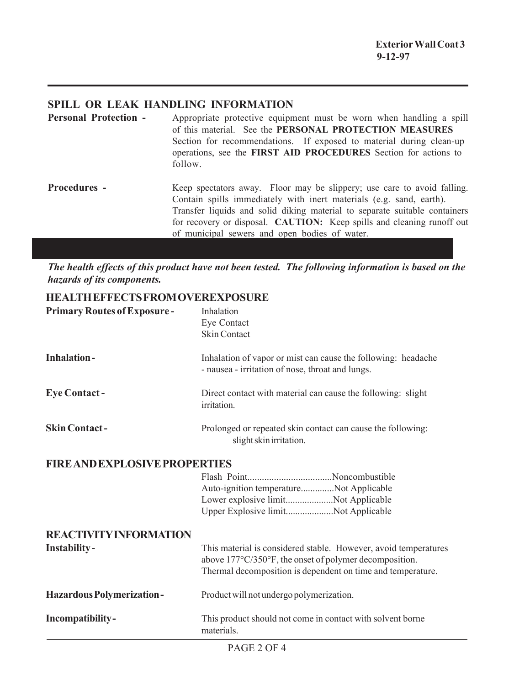## **SPILL OR LEAK HANDLING INFORMATION**

**Personal Protection -** Appropriate protective equipment must be worn when handling a spill of this material. See the **PERSONAL PROTECTION MEASURES** Section for recommendations. If exposed to material during clean-up operations, see the **FIRST AID PROCEDURES** Section for actions to follow. **Procedures -** Keep spectators away. Floor may be slippery; use care to avoid falling. Contain spills immediately with inert materials (e.g. sand, earth). Transfer liquids and solid diking material to separate suitable containers for recovery or disposal. **CAUTION:** Keep spills and cleaning runoff out of municipal sewers and open bodies of water.

*The health effects of this product have not been tested. The following information is based on the hazards of its components.*

## **HEALTH EFFECTS FROM OVEREXPOSURE**

| <b>Primary Routes of Exposure-</b>   | Inhalation<br>Eye Contact<br><b>Skin Contact</b>                                                                                                                                         |
|--------------------------------------|------------------------------------------------------------------------------------------------------------------------------------------------------------------------------------------|
| <b>Inhalation-</b>                   | Inhalation of vapor or mist can cause the following: headache<br>- nausea - irritation of nose, throat and lungs.                                                                        |
| <b>Eye Contact -</b>                 | Direct contact with material can cause the following: slight<br>irritation.                                                                                                              |
| <b>Skin Contact-</b>                 | Prolonged or repeated skin contact can cause the following:<br>slight skin irritation.                                                                                                   |
| <b>FIRE AND EXPLOSIVE PROPERTIES</b> |                                                                                                                                                                                          |
|                                      | Auto-ignition temperatureNot Applicable<br>Lower explosive limitNot Applicable<br>Upper Explosive limitNot Applicable                                                                    |
| <b>REACTIVITY INFORMATION</b>        |                                                                                                                                                                                          |
| Instability-                         | This material is considered stable. However, avoid temperatures<br>above 177°C/350°F, the onset of polymer decomposition.<br>Thermal decomposition is dependent on time and temperature. |
| <b>Hazardous Polymerization-</b>     | Product will not undergo polymerization.                                                                                                                                                 |
| Incompatibility-                     | This product should not come in contact with solvent borne<br>materials.                                                                                                                 |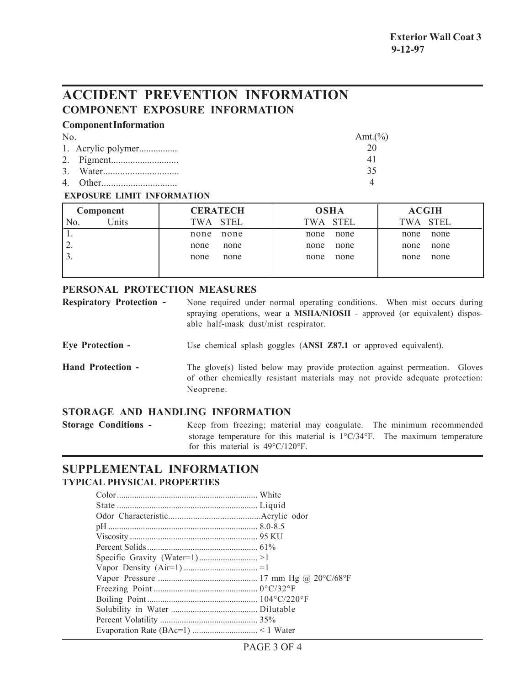# **ACCIDENT PREVENTION INFORMATION COMPONENT EXPOSURE INFORMATION**

## **Component Information**

| No | Amt. $(\%)$ |
|----|-------------|
|    |             |
|    | 41          |
|    | 35          |
|    |             |

#### **EXPOSURE LIMIT INFORMATION**

| Component    | <b>CERATECH</b> | <b>OSHA</b> | <b>ACGIH</b> |
|--------------|-----------------|-------------|--------------|
| Units<br>N0. | TWA STEL        | TWA STEL    | TWA STEL     |
|              | none            | none        | none         |
|              | none            | none        | none         |
| ∠.           | none            | none        | none         |
|              | none            | none        | none         |
|              | none            | none        | none         |
|              | none            | none        | none         |
|              |                 |             |              |

## **PERSONAL PROTECTION MEASURES**

| <b>Respiratory Protection -</b> | None required under normal operating conditions. When mist occurs during         |  |  |
|---------------------------------|----------------------------------------------------------------------------------|--|--|
|                                 | spraying operations, wear a <b>MSHA/NIOSH</b> - approved (or equivalent) dispos- |  |  |
|                                 | able half-mask dust/mist respirator.                                             |  |  |

**Eye Protection -** Use chemical splash goggles (**ANSI Z87.1** or approved equivalent).

**Hand Protection -** The glove(s) listed below may provide protection against permeation. Gloves of other chemically resistant materials may not provide adequate protection: Neoprene.

## **STORAGE AND HANDLING INFORMATION**

**Storage Conditions -** Keep from freezing; material may coagulate. The minimum recommended storage temperature for this material is 1°C/34°F. The maximum temperature for this material is 49°C/120°F.

## **SUPPLEMENTAL INFORMATION TYPICAL PHYSICAL PROPERTIES**